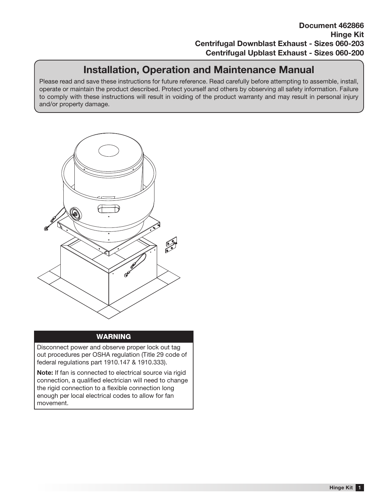# Installation, Operation and Maintenance Manual

Please read and save these instructions for future reference. Read carefully before attempting to assemble, install, operate or maintain the product described. Protect yourself and others by observing all safety information. Failure to comply with these instructions will result in voiding of the product warranty and may result in personal injury and/or property damage.



### 46286 - Hinge Kit | Cover drawing Kit | Cover drawing the Kit | Cover drawing the Kit | Cover drawing the Kit

Disconnect power and observe proper lock out tag out procedures per OSHA regulation (Title 29 code of federal regulations part 1910.147 & 1910.333).

Note: If fan is connected to electrical source via rigid connection, a qualified electrician will need to change the rigid connection to a flexible connection long enough per local electrical codes to allow for fan movement.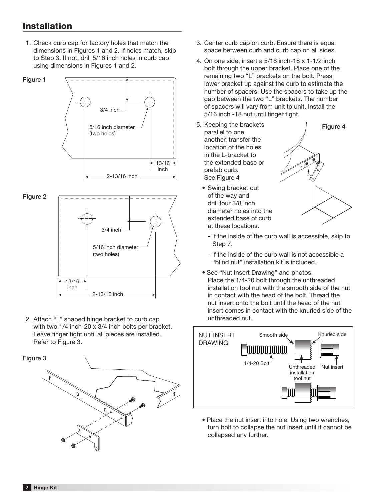dimensions in Figures 1 and 2. If holes match, skip 1. Check curb cap for factory holes that match the annoncente in riggiled it and Little mode materi, etc. using dimensions in Figures 1 and 2.



Leave finger tight until all pieces are installed. 2. Attach "L" shaped hinge bracket to curb cap with two 1/4 inch-20 x 3/4 inch bolts per bracket. Refer to Figure 3.  $\frac{1}{2}$ 



- space between curb and curb cap on all sides. 3. Center curb cap on curb. Ensure there is equal
- 4. On one side, insert a 5/16 inch-18 x 1-1/2 inch bolt through the upper bracket. Place one of the remaining two "L" brackets on the bolt. Press lower bracket up against the curb to estimate the number of spacers. Use the spacers to take up the gap between the two "L" brackets. The number of spacers will vary from unit to unit. Install the 5/16 inch -18 nut until finger tight.
- $\leftarrow$  13/16  $\rightarrow$  the extended base or  $\leftarrow$ 5. Keeping the brackets parallel to one another, transfer the **inch 4 inch 4 inch 4 inches** include the holes in the L-bracket to  $\frac{1}{2}$  included base of  $\frac{1}{2}$  inches  $\frac{1}{2}$  inches  $\frac{1}{2}$  inches  $\frac{1}{2}$  inches  $\frac{1}{2}$  inches  $\frac{1}{2}$  inches  $\frac{1}{2}$  inches  $\frac{1}{2}$  included base of  $\frac{1}{2}$  included base of  $\frac{1}{2}$  included ba See Figure 4
	- $\frac{1}{2}$  of the way and • Swing bracket out drill four 3/8 inch diameter holes into the extended base of curb at these locations.



- If the inside of the curb wall is accessible, skip to Step 7.
- If the inside of the curb wall is not accessible a "blind nut" installation kit is included.
- See "Nut Insert Drawing" and photos. Place the 1/4-20 bolt through the unthreaded installation tool nut with the smooth side of the nut in contact with the head of the bolt. Thread the nut insert onto the bolt until the head of the nut insert comes in contact with the knurled side of the unthreaded nut.



• Place the nut insert into hole. Using two wrenches, turn bolt to collapse the nut insert until it cannot be collapsed any further.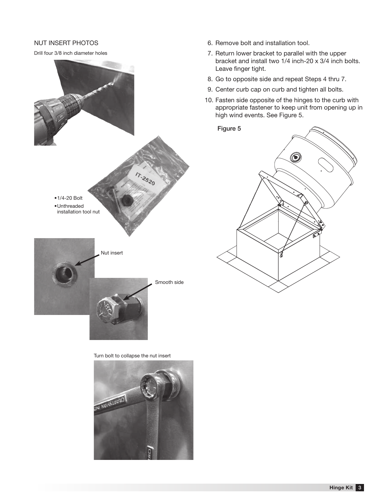#### NUT INSERT PHOTOS

Drill four 3/8 inch diameter holes



Turn bolt to collapse the nut insert



- 6. Remove bolt and installation tool.
- 7. Return lower bracket to parallel with the upper bracket and install two 1/4 inch-20 x 3/4 inch bolts. Leave finger tight.
- 8. Go to opposite side and repeat Steps 4 thru 7.
- 9. Center curb cap on curb and tighten all bolts.
- 10. Fasten side opposite of the hinges to the curb with appropriate fastener to keep unit from opening up in high wind events. See Figure 5.